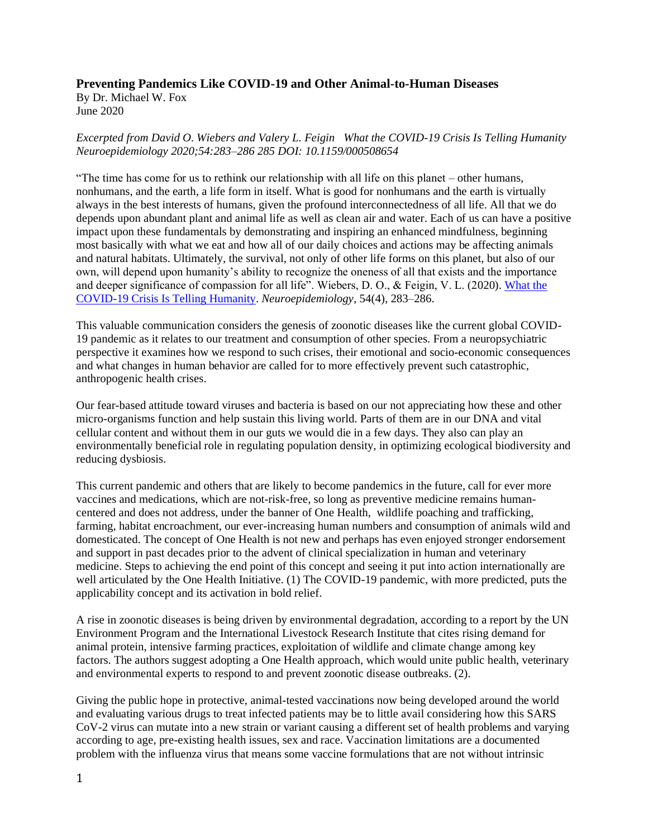## **Preventing Pandemics Like COVID-19 and Other Animal-to-Human Diseases**

By Dr. Michael W. Fox June 2020

## *Excerpted from David O. Wiebers and Valery L. Feigin What the COVID-19 Crisis Is Telling Humanity Neuroepidemiology 2020;54:283–286 285 DOI: 10.1159/000508654*

"The time has come for us to rethink our relationship with all life on this planet – other humans, nonhumans, and the earth, a life form in itself. What is good for nonhumans and the earth is virtually always in the best interests of humans, given the profound interconnectedness of all life. All that we do depends upon abundant plant and animal life as well as clean air and water. Each of us can have a positive impact upon these fundamentals by demonstrating and inspiring an enhanced mindfulness, beginning most basically with what we eat and how all of our daily choices and actions may be affecting animals and natural habitats. Ultimately, the survival, not only of other life forms on this planet, but also of our own, will depend upon humanity's ability to recognize the oneness of all that exists and the importance and deeper significance of compassion for all life". Wiebers, D. O., & Feigin, V. L. (2020). [What the](https://doi.org/10.1159/000508654)  [COVID-19 Crisis Is Telling Humanity.](https://doi.org/10.1159/000508654) *Neuroepidemiology*, 54(4), 283–286.

This valuable communication considers the genesis of zoonotic diseases like the current global COVID-19 pandemic as it relates to our treatment and consumption of other species. From a neuropsychiatric perspective it examines how we respond to such crises, their emotional and socio-economic consequences and what changes in human behavior are called for to more effectively prevent such catastrophic, anthropogenic health crises.

Our fear-based attitude toward viruses and bacteria is based on our not appreciating how these and other micro-organisms function and help sustain this living world. Parts of them are in our DNA and vital cellular content and without them in our guts we would die in a few days. They also can play an environmentally beneficial role in regulating population density, in optimizing ecological biodiversity and reducing dysbiosis.

This current pandemic and others that are likely to become pandemics in the future, call for ever more vaccines and medications, which are not-risk-free, so long as preventive medicine remains humancentered and does not address, under the banner of One Health, wildlife poaching and trafficking, farming, habitat encroachment, our ever-increasing human numbers and consumption of animals wild and domesticated. The concept of One Health is not new and perhaps has even enjoyed stronger endorsement and support in past decades prior to the advent of clinical specialization in human and veterinary medicine. Steps to achieving the end point of this concept and seeing it put into action internationally are well articulated by the One Health Initiative. (1) The COVID-19 pandemic, with more predicted, puts the applicability concept and its activation in bold relief.

A rise in zoonotic diseases is being driven by environmental degradation, according to a report by the UN Environment Program and the International Livestock Research Institute that cites rising demand for animal protein, intensive farming practices, exploitation of wildlife and climate change among key factors. The authors suggest adopting a One Health approach, which would unite public health, veterinary and environmental experts to respond to and prevent zoonotic disease outbreaks. (2).

Giving the public hope in protective, animal-tested vaccinations now being developed around the world and evaluating various drugs to treat infected patients may be to little avail considering how this SARS CoV-2 virus can mutate into a new strain or variant causing a different set of health problems and varying according to age, pre-existing health issues, sex and race. Vaccination limitations are a documented problem with the influenza virus that means some vaccine formulations that are not without intrinsic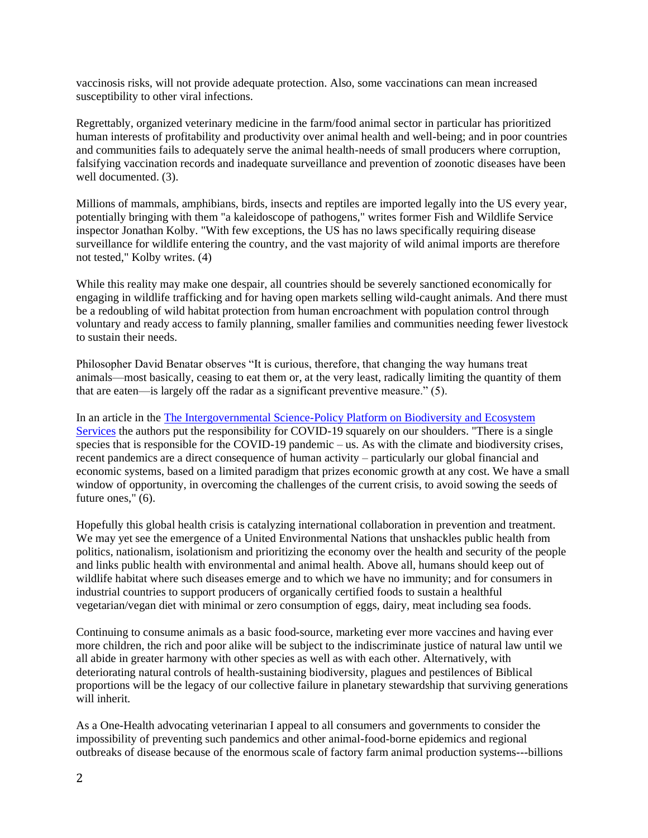vaccinosis risks, will not provide adequate protection. Also, some vaccinations can mean increased susceptibility to other viral infections.

Regrettably, organized veterinary medicine in the farm/food animal sector in particular has prioritized human interests of profitability and productivity over animal health and well-being; and in poor countries and communities fails to adequately serve the animal health-needs of small producers where corruption, falsifying vaccination records and inadequate surveillance and prevention of zoonotic diseases have been well documented. (3).

Millions of mammals, amphibians, birds, insects and reptiles are imported legally into the US every year, potentially bringing with them "a kaleidoscope of pathogens," writes former Fish and Wildlife Service inspector Jonathan Kolby. "With few exceptions, the US has no laws specifically requiring disease surveillance for wildlife entering the country, and the vast majority of wild animal imports are therefore not tested," Kolby writes. (4)

While this reality may make one despair, all countries should be severely sanctioned economically for engaging in wildlife trafficking and for having open markets selling wild-caught animals. And there must be a redoubling of wild habitat protection from human encroachment with population control through voluntary and ready access to family planning, smaller families and communities needing fewer livestock to sustain their needs.

Philosopher David Benatar observes "It is curious, therefore, that changing the way humans treat animals—most basically, ceasing to eat them or, at the very least, radically limiting the quantity of them that are eaten—is largely off the radar as a significant preventive measure." (5).

In an article in the [The Intergovernmental Science-Policy Platform on Biodiversity and Ecosystem](https://ipbes.net/covid19stimulus)  [Services](https://ipbes.net/covid19stimulus) the authors put the responsibility for COVID-19 squarely on our shoulders. "There is a single species that is responsible for the COVID-19 pandemic – us. As with the climate and biodiversity crises, recent pandemics are a direct consequence of human activity – particularly our global financial and economic systems, based on a limited paradigm that prizes economic growth at any cost. We have a small window of opportunity, in overcoming the challenges of the current crisis, to avoid sowing the seeds of future ones," (6).

Hopefully this global health crisis is catalyzing international collaboration in prevention and treatment. We may yet see the emergence of a United Environmental Nations that unshackles public health from politics, nationalism, isolationism and prioritizing the economy over the health and security of the people and links public health with environmental and animal health. Above all, humans should keep out of wildlife habitat where such diseases emerge and to which we have no immunity; and for consumers in industrial countries to support producers of organically certified foods to sustain a healthful vegetarian/vegan diet with minimal or zero consumption of eggs, dairy, meat including sea foods.

Continuing to consume animals as a basic food-source, marketing ever more vaccines and having ever more children, the rich and poor alike will be subject to the indiscriminate justice of natural law until we all abide in greater harmony with other species as well as with each other. Alternatively, with deteriorating natural controls of health-sustaining biodiversity, plagues and pestilences of Biblical proportions will be the legacy of our collective failure in planetary stewardship that surviving generations will inherit.

As a One-Health advocating veterinarian I appeal to all consumers and governments to consider the impossibility of preventing such pandemics and other animal-food-borne epidemics and regional outbreaks of disease because of the enormous scale of factory farm animal production systems---billions